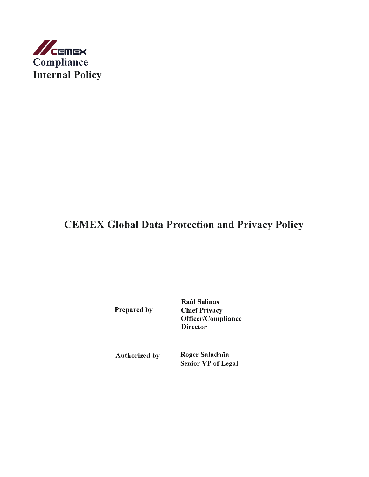

# **CEMEX Global Data Protection and Privacy Policy**

**Prepared by**

**Raúl Salinas Chief Privacy Officer/Compliance Director** 

**Authorized by Roger Saladaña Senior VP of Legal**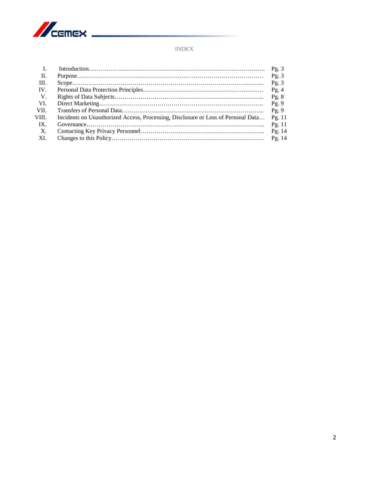

## INDEX

| $\mathbf{I}$ . |                                                                                   | Pg.3     |
|----------------|-----------------------------------------------------------------------------------|----------|
| П.             |                                                                                   | Pg. $3$  |
| III.           |                                                                                   | Pg.3     |
| IV.            |                                                                                   | Pg.4     |
| V.             |                                                                                   | Pg. $8$  |
| VI.            |                                                                                   | Pg.9     |
| VII.           |                                                                                   | Pg.9     |
| VIII.          | Incidents on Unauthorized Access, Processing, Disclosure or Loss of Personal Data | Pg. $11$ |
| IX.            |                                                                                   | Pg. $11$ |
| X.             |                                                                                   | Pg. $14$ |
| - XI.          |                                                                                   | Pg. $14$ |
|                |                                                                                   |          |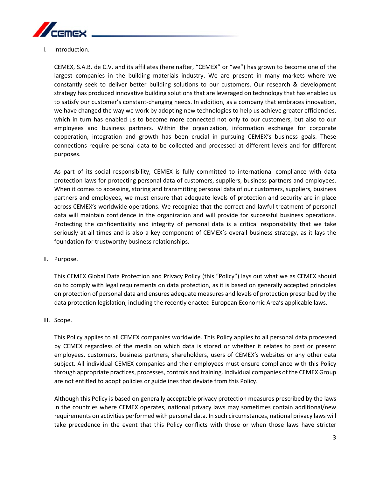

I. Introduction.

CEMEX, S.A.B. de C.V. and its affiliates (hereinafter, "CEMEX" or "we") has grown to become one of the largest companies in the building materials industry. We are present in many markets where we constantly seek to deliver better building solutions to our customers. Our research & development strategy has produced innovative building solutions that are leveraged on technology that has enabled us to satisfy our customer's constant-changing needs. In addition, as a company that embraces innovation, we have changed the way we work by adopting new technologies to help us achieve greater efficiencies, which in turn has enabled us to become more connected not only to our customers, but also to our employees and business partners. Within the organization, information exchange for corporate cooperation, integration and growth has been crucial in pursuing CEMEX's business goals. These connections require personal data to be collected and processed at different levels and for different purposes.

As part of its social responsibility, CEMEX is fully committed to international compliance with data protection laws for protecting personal data of customers, suppliers, business partners and employees. When it comes to accessing, storing and transmitting personal data of our customers, suppliers, business partners and employees, we must ensure that adequate levels of protection and security are in place across CEMEX's worldwide operations. We recognize that the correct and lawful treatment of personal data will maintain confidence in the organization and will provide for successful business operations. Protecting the confidentiality and integrity of personal data is a critical responsibility that we take seriously at all times and is also a key component of CEMEX's overall business strategy, as it lays the foundation for trustworthy business relationships.

II. Purpose.

This CEMEX Global Data Protection and Privacy Policy (this "Policy") lays out what we as CEMEX should do to comply with legal requirements on data protection, as it is based on generally accepted principles on protection of personal data and ensures adequate measures and levels of protection prescribed by the data protection legislation, including the recently enacted European Economic Area's applicable laws.

III. Scope.

This Policy applies to all CEMEX companies worldwide. This Policy applies to all personal data processed by CEMEX regardless of the media on which data is stored or whether it relates to past or present employees, customers, business partners, shareholders, users of CEMEX's websites or any other data subject. All individual CEMEX companies and their employees must ensure compliance with this Policy through appropriate practices, processes, controls and training. Individual companies of the CEMEX Group are not entitled to adopt policies or guidelines that deviate from this Policy.

Although this Policy is based on generally acceptable privacy protection measures prescribed by the laws in the countries where CEMEX operates, national privacy laws may sometimes contain additional/new requirements on activities performed with personal data. In such circumstances, national privacy laws will take precedence in the event that this Policy conflicts with those or when those laws have stricter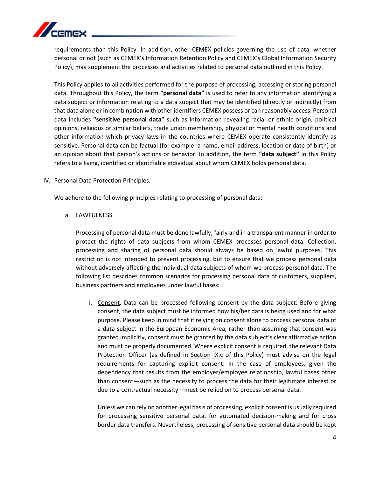

requirements than this Policy. In addition, other CEMEX policies governing the use of data, whether personal or not (such as CEMEX's Information Retention Policy and CEMEX's Global Information Security Policy), may supplement the processes and activities related to personal data outlined in this Policy.

This Policy applies to all activities performed for the purpose of processing, accessing or storing personal data. Throughout this Policy, the term **"personal data"** is used to refer to any information identifying a data subject or information relating to a data subject that may be identified (directly or indirectly) from that data alone or in combination with other identifiers CEMEX possess or can reasonably access. Personal data includes **"sensitive personal data"** such as information revealing racial or ethnic origin, political opinions, religious or similar beliefs, trade union membership, physical or mental health conditions and other information which privacy laws in the countries where CEMEX operate consistently identify as sensitive. Personal data can be factual (for example: a name, email address, location or date of birth) or an opinion about that person's actions or behavior. In addition, the term **"data subject"** in this Policy refers to a living, identified or identifiable individual about whom CEMEX holds personal data.

#### IV. Personal Data Protection Principles.

We adhere to the following principles relating to processing of personal data:

a. LAWFULNESS.

Processing of personal data must be done lawfully, fairly and in a transparent manner in order to protect the rights of data subjects from whom CEMEX processes personal data. Collection, processing and sharing of personal data should always be based on lawful purposes. This restriction is not intended to prevent processing, but to ensure that we process personal data without adversely affecting the individual data subjects of whom we process personal data. The following list describes common scenarios for processing personal data of customers, suppliers, business partners and employees under lawful bases:

i. Consent. Data can be processed following consent by the data subject. Before giving consent, the data subject must be informed how his/her data is being used and for what purpose. Please keep in mind that if relying on consent alone to process personal data of a data subject in the European Economic Area, rather than assuming that consent was granted implicitly, consent must be granted by the data subject's clear affirmative action and must be properly documented. Where explicit consent is required, the relevant Data Protection Officer (as defined in Section IX.c of this Policy) must advise on the legal requirements for capturing explicit consent. In the case of employees, given the dependency that results from the employer/employee relationship, lawful bases other than consent—such as the necessity to process the data for their legitimate interest or due to a contractual necessity—must be relied on to process personal data.

Unless we can rely on another legal basis of processing, explicit consent is usually required for processing sensitive personal data, for automated decision-making and for cross border data transfers. Nevertheless, processing of sensitive personal data should be kept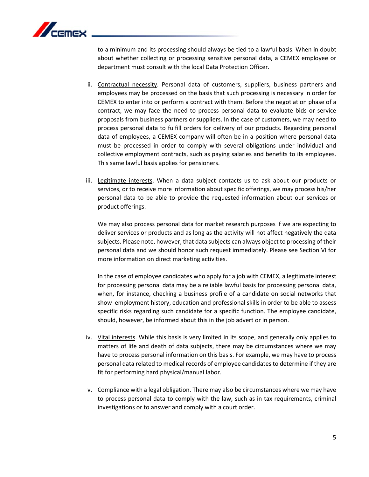

to a minimum and its processing should always be tied to a lawful basis. When in doubt about whether collecting or processing sensitive personal data, a CEMEX employee or department must consult with the local Data Protection Officer.

- ii. Contractual necessity. Personal data of customers, suppliers, business partners and employees may be processed on the basis that such processing is necessary in order for CEMEX to enter into or perform a contract with them. Before the negotiation phase of a contract, we may face the need to process personal data to evaluate bids or service proposals from business partners or suppliers. In the case of customers, we may need to process personal data to fulfill orders for delivery of our products. Regarding personal data of employees, a CEMEX company will often be in a position where personal data must be processed in order to comply with several obligations under individual and collective employment contracts, such as paying salaries and benefits to its employees. This same lawful basis applies for pensioners.
- iii. Legitimate interests. When a data subject contacts us to ask about our products or services, or to receive more information about specific offerings, we may process his/her personal data to be able to provide the requested information about our services or product offerings.

We may also process personal data for market research purposes if we are expecting to deliver services or products and as long as the activity will not affect negatively the data subjects. Please note, however, that data subjects can always object to processing of their personal data and we should honor such request immediately. Please see Section VI for more information on direct marketing activities.

In the case of employee candidates who apply for a job with CEMEX, a legitimate interest for processing personal data may be a reliable lawful basis for processing personal data, when, for instance, checking a business profile of a candidate on social networks that show employment history, education and professional skills in order to be able to assess specific risks regarding such candidate for a specific function. The employee candidate, should, however, be informed about this in the job advert or in person.

- iv. Vital interests. While this basis is very limited in its scope, and generally only applies to matters of life and death of data subjects, there may be circumstances where we may have to process personal information on this basis. For example, we may have to process personal data related to medical records of employee candidates to determine if they are fit for performing hard physical/manual labor.
- v. Compliance with a legal obligation. There may also be circumstances where we may have to process personal data to comply with the law, such as in tax requirements, criminal investigations or to answer and comply with a court order.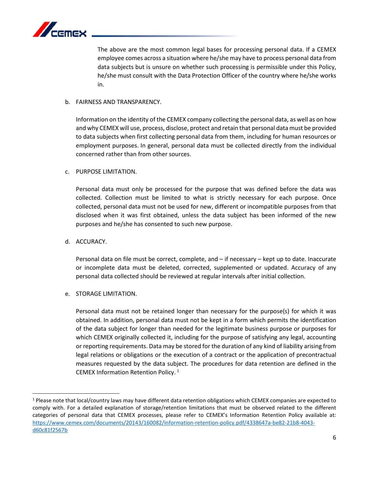

The above are the most common legal bases for processing personal data. If a CEMEX employee comes across a situation where he/she may have to process personal data from data subjects but is unsure on whether such processing is permissible under this Policy, he/she must consult with the Data Protection Officer of the country where he/she works in.

#### b. FAIRNESS AND TRANSPARENCY.

Information on the identity of the CEMEX company collecting the personal data, as well as on how and why CEMEX will use, process, disclose, protect and retain that personal data must be provided to data subjects when first collecting personal data from them, including for human resources or employment purposes. In general, personal data must be collected directly from the individual concerned rather than from other sources.

#### c. PURPOSE LIMITATION.

Personal data must only be processed for the purpose that was defined before the data was collected. Collection must be limited to what is strictly necessary for each purpose. Once collected, personal data must not be used for new, different or incompatible purposes from that disclosed when it was first obtained, unless the data subject has been informed of the new purposes and he/she has consented to such new purpose.

#### d. ACCURACY.

l

Personal data on file must be correct, complete, and – if necessary – kept up to date. Inaccurate or incomplete data must be deleted, corrected, supplemented or updated. Accuracy of any personal data collected should be reviewed at regular intervals after initial collection.

e. STORAGE LIMITATION.

Personal data must not be retained longer than necessary for the purpose(s) for which it was obtained. In addition, personal data must not be kept in a form which permits the identification of the data subject for longer than needed for the legitimate business purpose or purposes for which CEMEX originally collected it, including for the purpose of satisfying any legal, accounting or reporting requirements. Data may be stored for the duration of any kind of liability arising from legal relations or obligations or the execution of a contract or the application of precontractual measures requested by the data subject. The procedures for data retention are defined in the CEMEX Information Retention Policy. <sup>1</sup>

<sup>1</sup> Please note that local/country laws may have different data retention obligations which CEMEX companies are expected to comply with. For a detailed explanation of storage/retention limitations that must be observed related to the different categories of personal data that CEMEX processes, please refer to CEMEX's Information Retention Policy available at: https://www.cemex.com/documents/20143/160082/information-retention-policy.pdf/4338647a-be82-21b8-4043 d60c81f2567b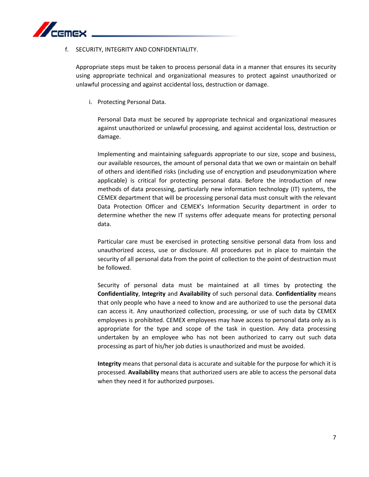

#### f. SECURITY, INTEGRITY AND CONFIDENTIALITY.

Appropriate steps must be taken to process personal data in a manner that ensures its security using appropriate technical and organizational measures to protect against unauthorized or unlawful processing and against accidental loss, destruction or damage.

i. Protecting Personal Data.

Personal Data must be secured by appropriate technical and organizational measures against unauthorized or unlawful processing, and against accidental loss, destruction or damage.

Implementing and maintaining safeguards appropriate to our size, scope and business, our available resources, the amount of personal data that we own or maintain on behalf of others and identified risks (including use of encryption and pseudonymization where applicable) is critical for protecting personal data. Before the introduction of new methods of data processing, particularly new information technology (IT) systems, the CEMEX department that will be processing personal data must consult with the relevant Data Protection Officer and CEMEX's Information Security department in order to determine whether the new IT systems offer adequate means for protecting personal data.

Particular care must be exercised in protecting sensitive personal data from loss and unauthorized access, use or disclosure. All procedures put in place to maintain the security of all personal data from the point of collection to the point of destruction must be followed.

Security of personal data must be maintained at all times by protecting the **Confidentiality**, **Integrity** and **Availability** of such personal data. **Confidentiality** means that only people who have a need to know and are authorized to use the personal data can access it. Any unauthorized collection, processing, or use of such data by CEMEX employees is prohibited. CEMEX employees may have access to personal data only as is appropriate for the type and scope of the task in question. Any data processing undertaken by an employee who has not been authorized to carry out such data processing as part of his/her job duties is unauthorized and must be avoided.

**Integrity** means that personal data is accurate and suitable for the purpose for which it is processed. **Availability** means that authorized users are able to access the personal data when they need it for authorized purposes.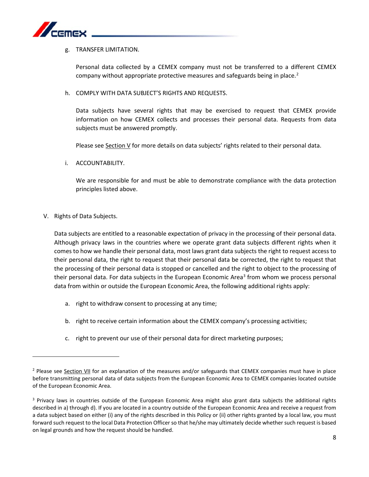

#### g. TRANSFER LIMITATION.

Personal data collected by a CEMEX company must not be transferred to a different CEMEX company without appropriate protective measures and safeguards being in place.<sup>2</sup>

h. COMPLY WITH DATA SUBJECT'S RIGHTS AND REQUESTS.

Data subjects have several rights that may be exercised to request that CEMEX provide information on how CEMEX collects and processes their personal data. Requests from data subjects must be answered promptly.

Please see Section V for more details on data subjects' rights related to their personal data.

i. ACCOUNTABILITY.

We are responsible for and must be able to demonstrate compliance with the data protection principles listed above.

V. Rights of Data Subjects.

 $\overline{\phantom{a}}$ 

Data subjects are entitled to a reasonable expectation of privacy in the processing of their personal data. Although privacy laws in the countries where we operate grant data subjects different rights when it comes to how we handle their personal data, most laws grant data subjects the right to request access to their personal data, the right to request that their personal data be corrected, the right to request that the processing of their personal data is stopped or cancelled and the right to object to the processing of their personal data. For data subjects in the European Economic Area<sup>3</sup> from whom we process personal data from within or outside the European Economic Area, the following additional rights apply:

- a. right to withdraw consent to processing at any time;
- b. right to receive certain information about the CEMEX company's processing activities;
- c. right to prevent our use of their personal data for direct marketing purposes;

<sup>&</sup>lt;sup>2</sup> Please see Section VII for an explanation of the measures and/or safeguards that CEMEX companies must have in place before transmitting personal data of data subjects from the European Economic Area to CEMEX companies located outside of the European Economic Area.

<sup>&</sup>lt;sup>3</sup> Privacy laws in countries outside of the European Economic Area might also grant data subjects the additional rights described in a) through d). If you are located in a country outside of the European Economic Area and receive a request from a data subject based on either (i) any of the rights described in this Policy or (ii) other rights granted by a local law, you must forward such request to the local Data Protection Officer so that he/she may ultimately decide whether such request is based on legal grounds and how the request should be handled.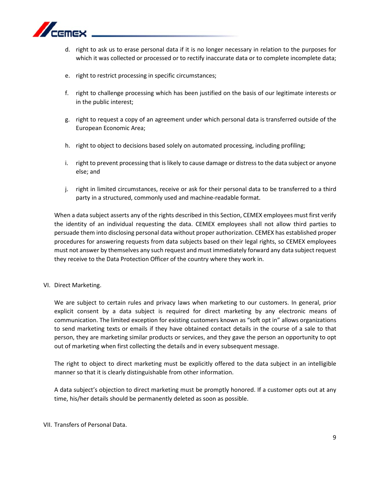

- d. right to ask us to erase personal data if it is no longer necessary in relation to the purposes for which it was collected or processed or to rectify inaccurate data or to complete incomplete data;
- e. right to restrict processing in specific circumstances;
- f. right to challenge processing which has been justified on the basis of our legitimate interests or in the public interest;
- g. right to request a copy of an agreement under which personal data is transferred outside of the European Economic Area;
- h. right to object to decisions based solely on automated processing, including profiling;
- i. right to prevent processing that is likely to cause damage or distress to the data subject or anyone else; and
- j. right in limited circumstances, receive or ask for their personal data to be transferred to a third party in a structured, commonly used and machine-readable format.

When a data subject asserts any of the rights described in this Section, CEMEX employees must first verify the identity of an individual requesting the data. CEMEX employees shall not allow third parties to persuade them into disclosing personal data without proper authorization. CEMEX has established proper procedures for answering requests from data subjects based on their legal rights, so CEMEX employees must not answer by themselves any such request and must immediately forward any data subject request they receive to the Data Protection Officer of the country where they work in.

VI. Direct Marketing.

We are subject to certain rules and privacy laws when marketing to our customers. In general, prior explicit consent by a data subject is required for direct marketing by any electronic means of communication. The limited exception for existing customers known as "soft opt in" allows organizations to send marketing texts or emails if they have obtained contact details in the course of a sale to that person, they are marketing similar products or services, and they gave the person an opportunity to opt out of marketing when first collecting the details and in every subsequent message.

The right to object to direct marketing must be explicitly offered to the data subject in an intelligible manner so that it is clearly distinguishable from other information.

A data subject's objection to direct marketing must be promptly honored. If a customer opts out at any time, his/her details should be permanently deleted as soon as possible.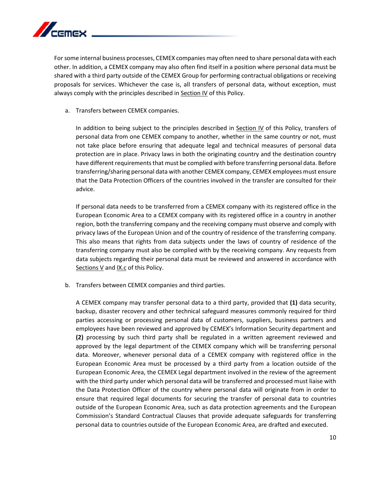

For some internal business processes, CEMEX companies may often need to share personal data with each other. In addition, a CEMEX company may also often find itself in a position where personal data must be shared with a third party outside of the CEMEX Group for performing contractual obligations or receiving proposals for services. Whichever the case is, all transfers of personal data, without exception, must always comply with the principles described in Section IV of this Policy.

a. Transfers between CEMEX companies.

In addition to being subject to the principles described in Section IV of this Policy, transfers of personal data from one CEMEX company to another, whether in the same country or not, must not take place before ensuring that adequate legal and technical measures of personal data protection are in place. Privacy laws in both the originating country and the destination country have different requirements that must be complied with before transferring personal data. Before transferring/sharing personal data with another CEMEX company, CEMEX employees must ensure that the Data Protection Officers of the countries involved in the transfer are consulted for their advice.

If personal data needs to be transferred from a CEMEX company with its registered office in the European Economic Area to a CEMEX company with its registered office in a country in another region, both the transferring company and the receiving company must observe and comply with privacy laws of the European Union and of the country of residence of the transferring company. This also means that rights from data subjects under the laws of country of residence of the transferring company must also be complied with by the receiving company. Any requests from data subjects regarding their personal data must be reviewed and answered in accordance with Sections V and IX.c of this Policy.

b. Transfers between CEMEX companies and third parties.

A CEMEX company may transfer personal data to a third party, provided that **(1)** data security, backup, disaster recovery and other technical safeguard measures commonly required for third parties accessing or processing personal data of customers, suppliers, business partners and employees have been reviewed and approved by CEMEX's Information Security department and **(2)** processing by such third party shall be regulated in a written agreement reviewed and approved by the legal department of the CEMEX company which will be transferring personal data. Moreover, whenever personal data of a CEMEX company with registered office in the European Economic Area must be processed by a third party from a location outside of the European Economic Area, the CEMEX Legal department involved in the review of the agreement with the third party under which personal data will be transferred and processed must liaise with the Data Protection Officer of the country where personal data will originate from in order to ensure that required legal documents for securing the transfer of personal data to countries outside of the European Economic Area, such as data protection agreements and the European Commission's Standard Contractual Clauses that provide adequate safeguards for transferring personal data to countries outside of the European Economic Area, are drafted and executed.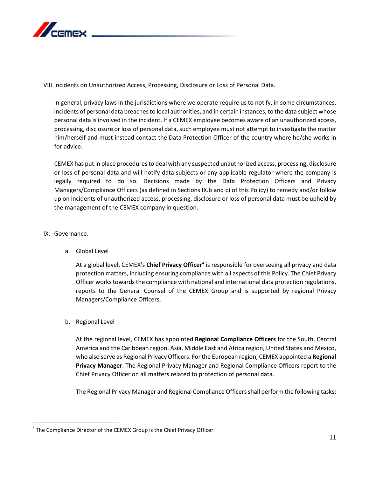

VIII.Incidents on Unauthorized Access, Processing, Disclosure or Loss of Personal Data.

In general, privacy laws in the jurisdictions where we operate require us to notify, in some circumstances, incidents of personal data breaches to local authorities, and in certain instances, to the data subject whose personal data is involved in the incident. If a CEMEX employee becomes aware of an unauthorized access, processing, disclosure or loss of personal data, such employee must not attempt to investigate the matter him/herself and must instead contact the Data Protection Officer of the country where he/she works in for advice.

CEMEX has put in place procedures to deal with any suspected unauthorized access, processing, disclosure or loss of personal data and will notify data subjects or any applicable regulator where the company is legally required to do so. Decisions made by the Data Protection Officers and Privacy Managers/Compliance Officers (as defined in Sections IX.b and c) of this Policy) to remedy and/or follow up on incidents of unauthorized access, processing, disclosure or loss of personal data must be upheld by the management of the CEMEX company in question.

#### IX. Governance.

a. Global Level

At a global level, CEMEX's **Chief Privacy Officer4** is responsible for overseeing all privacy and data protection matters, including ensuring compliance with all aspects of this Policy. The Chief Privacy Officer works towards the compliance with national and international data protection regulations, reports to the General Counsel of the CEMEX Group and is supported by regional Privacy Managers/Compliance Officers.

### b. Regional Level

At the regional level, CEMEX has appointed **Regional Compliance Officers** for the South, Central America and the Caribbean region, Asia, Middle East and Africa region, United States and Mexico, who also serve as Regional Privacy Officers. For the European region, CEMEX appointed a **Regional Privacy Manager**. The Regional Privacy Manager and Regional Compliance Officers report to the Chief Privacy Officer on all matters related to protection of personal data.

The Regional Privacy Manager and Regional Compliance Officers shall perform the following tasks:

<sup>&</sup>lt;sup>4</sup> The Compliance Director of the CEMEX Group is the Chief Privacy Officer.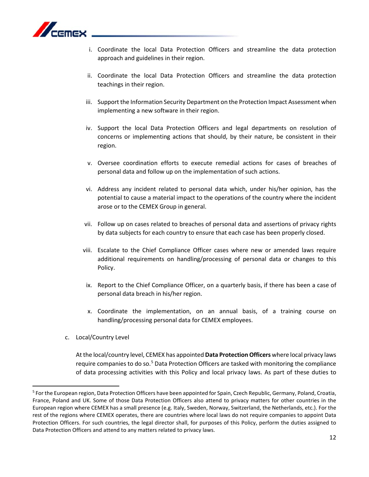

- i. Coordinate the local Data Protection Officers and streamline the data protection approach and guidelines in their region.
- ii. Coordinate the local Data Protection Officers and streamline the data protection teachings in their region.
- iii. Support the Information Security Department on the Protection Impact Assessment when implementing a new software in their region.
- iv. Support the local Data Protection Officers and legal departments on resolution of concerns or implementing actions that should, by their nature, be consistent in their region.
- v. Oversee coordination efforts to execute remedial actions for cases of breaches of personal data and follow up on the implementation of such actions.
- vi. Address any incident related to personal data which, under his/her opinion, has the potential to cause a material impact to the operations of the country where the incident arose or to the CEMEX Group in general.
- vii. Follow up on cases related to breaches of personal data and assertions of privacy rights by data subjects for each country to ensure that each case has been properly closed.
- viii. Escalate to the Chief Compliance Officer cases where new or amended laws require additional requirements on handling/processing of personal data or changes to this Policy.
- ix. Report to the Chief Compliance Officer, on a quarterly basis, if there has been a case of personal data breach in his/her region.
- x. Coordinate the implementation, on an annual basis, of a training course on handling/processing personal data for CEMEX employees.
- c. Local/Country Level

At the local/country level, CEMEX has appointed **Data Protection Officers** where local privacy laws require companies to do so.<sup>5</sup> Data Protection Officers are tasked with monitoring the compliance of data processing activities with this Policy and local privacy laws. As part of these duties to

 <sup>5</sup> For the European region, Data Protection Officers have been appointed for Spain, Czech Republic, Germany, Poland, Croatia, France, Poland and UK. Some of those Data Protection Officers also attend to privacy matters for other countries in the European region where CEMEX has a small presence (e.g. Italy, Sweden, Norway, Switzerland, the Netherlands, etc.). For the rest of the regions where CEMEX operates, there are countries where local laws do not require companies to appoint Data Protection Officers. For such countries, the legal director shall, for purposes of this Policy, perform the duties assigned to Data Protection Officers and attend to any matters related to privacy laws.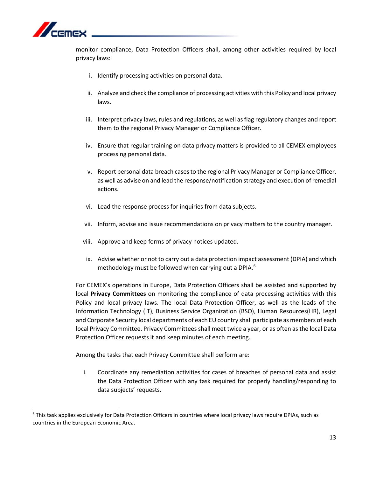

monitor compliance, Data Protection Officers shall, among other activities required by local privacy laws:

- i. Identify processing activities on personal data.
- ii. Analyze and check the compliance of processing activities with this Policy and local privacy laws.
- iii. Interpret privacy laws, rules and regulations, as well as flag regulatory changes and report them to the regional Privacy Manager or Compliance Officer.
- iv. Ensure that regular training on data privacy matters is provided to all CEMEX employees processing personal data.
- v. Report personal data breach cases to the regional Privacy Manager or Compliance Officer, as well as advise on and lead the response/notification strategy and execution of remedial actions.
- vi. Lead the response process for inquiries from data subjects.
- vii. Inform, advise and issue recommendations on privacy matters to the country manager.
- viii. Approve and keep forms of privacy notices updated.
- ix. Advise whether or not to carry out a data protection impact assessment (DPIA) and which methodology must be followed when carrying out a DPIA. 6

For CEMEX's operations in Europe, Data Protection Officers shall be assisted and supported by local **Privacy Committees** on monitoring the compliance of data processing activities with this Policy and local privacy laws. The local Data Protection Officer, as well as the leads of the Information Technology (IT), Business Service Organization (BSO), Human Resources(HR), Legal and Corporate Security local departments of each EU country shall participate as members of each local Privacy Committee. Privacy Committees shall meet twice a year, or as often as the local Data Protection Officer requests it and keep minutes of each meeting.

Among the tasks that each Privacy Committee shall perform are:

i. Coordinate any remediation activities for cases of breaches of personal data and assist the Data Protection Officer with any task required for properly handling/responding to data subjects' requests.

<sup>&</sup>lt;sup>6</sup> This task applies exclusively for Data Protection Officers in countries where local privacy laws require DPIAs, such as countries in the European Economic Area.